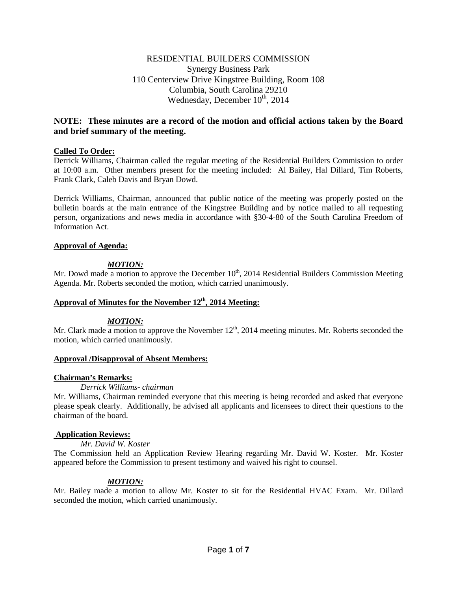# RESIDENTIAL BUILDERS COMMISSION Synergy Business Park 110 Centerview Drive Kingstree Building, Room 108 Columbia, South Carolina 29210 Wednesday, December  $10^{th}$ , 2014

# **NOTE: These minutes are a record of the motion and official actions taken by the Board and brief summary of the meeting.**

## **Called To Order:**

Derrick Williams, Chairman called the regular meeting of the Residential Builders Commission to order at 10:00 a.m. Other members present for the meeting included: Al Bailey, Hal Dillard, Tim Roberts, Frank Clark, Caleb Davis and Bryan Dowd.

Derrick Williams, Chairman, announced that public notice of the meeting was properly posted on the bulletin boards at the main entrance of the Kingstree Building and by notice mailed to all requesting person, organizations and news media in accordance with §30-4-80 of the South Carolina Freedom of Information Act.

### **Approval of Agenda:**

# *MOTION:*

Mr. Dowd made a motion to approve the December  $10<sup>th</sup>$ , 2014 Residential Builders Commission Meeting Agenda. Mr. Roberts seconded the motion, which carried unanimously.

## Approval of Minutes for the November 12<sup>th</sup>, 2014 Meeting:

### *MOTION:*

Mr. Clark made a motion to approve the November  $12<sup>th</sup>$ , 2014 meeting minutes. Mr. Roberts seconded the motion, which carried unanimously.

### **Approval /Disapproval of Absent Members:**

# **Chairman's Remarks:**

## *Derrick Williams- chairman*

Mr. Williams, Chairman reminded everyone that this meeting is being recorded and asked that everyone please speak clearly. Additionally, he advised all applicants and licensees to direct their questions to the chairman of the board.

### **Application Reviews:**

### *Mr. David W. Koster*

The Commission held an Application Review Hearing regarding Mr. David W. Koster. Mr. Koster appeared before the Commission to present testimony and waived his right to counsel.

# *MOTION:*

Mr. Bailey made a motion to allow Mr. Koster to sit for the Residential HVAC Exam. Mr. Dillard seconded the motion, which carried unanimously.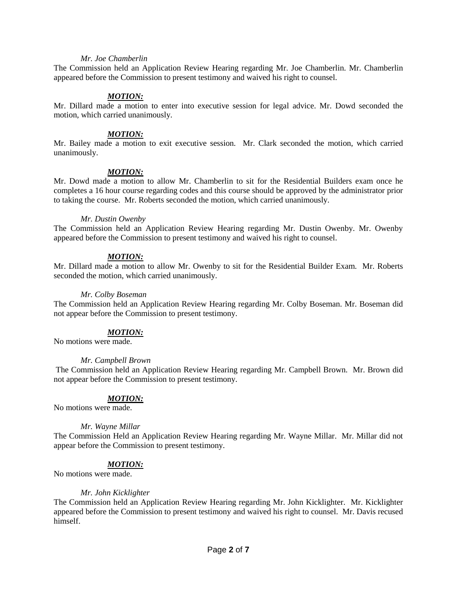#### *Mr. Joe Chamberlin*

The Commission held an Application Review Hearing regarding Mr. Joe Chamberlin. Mr. Chamberlin appeared before the Commission to present testimony and waived his right to counsel.

### *MOTION:*

Mr. Dillard made a motion to enter into executive session for legal advice. Mr. Dowd seconded the motion, which carried unanimously.

#### *MOTION:*

Mr. Bailey made a motion to exit executive session. Mr. Clark seconded the motion, which carried unanimously.

#### *MOTION:*

Mr. Dowd made a motion to allow Mr. Chamberlin to sit for the Residential Builders exam once he completes a 16 hour course regarding codes and this course should be approved by the administrator prior to taking the course. Mr. Roberts seconded the motion, which carried unanimously.

#### *Mr. Dustin Owenby*

The Commission held an Application Review Hearing regarding Mr. Dustin Owenby. Mr. Owenby appeared before the Commission to present testimony and waived his right to counsel.

#### *MOTION:*

Mr. Dillard made a motion to allow Mr. Owenby to sit for the Residential Builder Exam. Mr. Roberts seconded the motion, which carried unanimously.

#### *Mr. Colby Boseman*

The Commission held an Application Review Hearing regarding Mr. Colby Boseman. Mr. Boseman did not appear before the Commission to present testimony.

#### *MOTION:*

No motions were made.

#### *Mr. Campbell Brown*

The Commission held an Application Review Hearing regarding Mr. Campbell Brown. Mr. Brown did not appear before the Commission to present testimony.

### *MOTION:*

No motions were made.

### *Mr. Wayne Millar*

The Commission Held an Application Review Hearing regarding Mr. Wayne Millar. Mr. Millar did not appear before the Commission to present testimony.

### *MOTION:*

No motions were made.

#### *Mr. John Kicklighter*

The Commission held an Application Review Hearing regarding Mr. John Kicklighter. Mr. Kicklighter appeared before the Commission to present testimony and waived his right to counsel. Mr. Davis recused himself.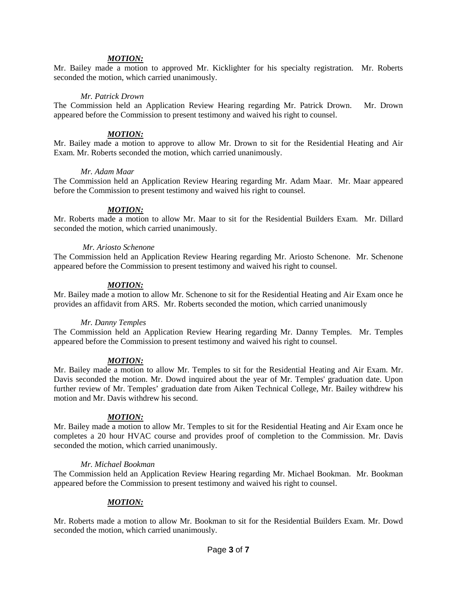#### *MOTION:*

Mr. Bailey made a motion to approved Mr. Kicklighter for his specialty registration. Mr. Roberts seconded the motion, which carried unanimously.

#### *Mr. Patrick Drown*

The Commission held an Application Review Hearing regarding Mr. Patrick Drown. Mr. Drown appeared before the Commission to present testimony and waived his right to counsel.

### *MOTION:*

Mr. Bailey made a motion to approve to allow Mr. Drown to sit for the Residential Heating and Air Exam. Mr. Roberts seconded the motion, which carried unanimously.

#### *Mr. Adam Maar*

The Commission held an Application Review Hearing regarding Mr. Adam Maar. Mr. Maar appeared before the Commission to present testimony and waived his right to counsel.

#### *MOTION:*

Mr. Roberts made a motion to allow Mr. Maar to sit for the Residential Builders Exam. Mr. Dillard seconded the motion, which carried unanimously.

#### *Mr. Ariosto Schenone*

The Commission held an Application Review Hearing regarding Mr. Ariosto Schenone. Mr. Schenone appeared before the Commission to present testimony and waived his right to counsel.

#### *MOTION:*

Mr. Bailey made a motion to allow Mr. Schenone to sit for the Residential Heating and Air Exam once he provides an affidavit from ARS. Mr. Roberts seconded the motion, which carried unanimously

### *Mr. Danny Temples*

The Commission held an Application Review Hearing regarding Mr. Danny Temples. Mr. Temples appeared before the Commission to present testimony and waived his right to counsel.

### *MOTION:*

Mr. Bailey made a motion to allow Mr. Temples to sit for the Residential Heating and Air Exam. Mr. Davis seconded the motion. Mr. Dowd inquired about the year of Mr. Temples' graduation date. Upon further review of Mr. Temples' graduation date from Aiken Technical College, Mr. Bailey withdrew his motion and Mr. Davis withdrew his second.

### *MOTION:*

Mr. Bailey made a motion to allow Mr. Temples to sit for the Residential Heating and Air Exam once he completes a 20 hour HVAC course and provides proof of completion to the Commission. Mr. Davis seconded the motion, which carried unanimously.

#### *Mr. Michael Bookman*

The Commission held an Application Review Hearing regarding Mr. Michael Bookman. Mr. Bookman appeared before the Commission to present testimony and waived his right to counsel.

### *MOTION:*

Mr. Roberts made a motion to allow Mr. Bookman to sit for the Residential Builders Exam. Mr. Dowd seconded the motion, which carried unanimously.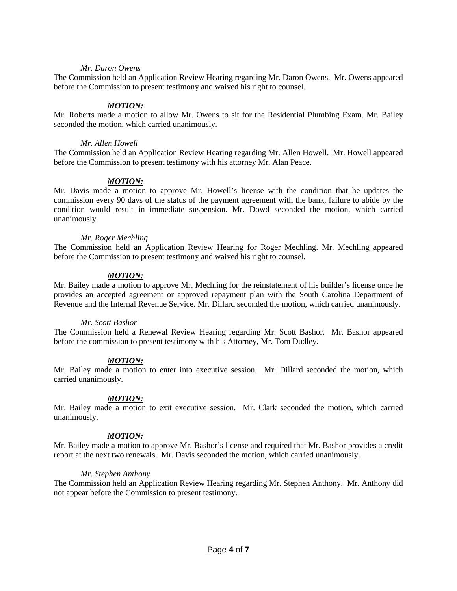#### *Mr. Daron Owens*

The Commission held an Application Review Hearing regarding Mr. Daron Owens. Mr. Owens appeared before the Commission to present testimony and waived his right to counsel.

#### *MOTION:*

Mr. Roberts made a motion to allow Mr. Owens to sit for the Residential Plumbing Exam. Mr. Bailey seconded the motion, which carried unanimously.

#### *Mr. Allen Howell*

The Commission held an Application Review Hearing regarding Mr. Allen Howell. Mr. Howell appeared before the Commission to present testimony with his attorney Mr. Alan Peace.

### *MOTION:*

Mr. Davis made a motion to approve Mr. Howell's license with the condition that he updates the commission every 90 days of the status of the payment agreement with the bank, failure to abide by the condition would result in immediate suspension. Mr. Dowd seconded the motion, which carried unanimously.

#### *Mr. Roger Mechling*

The Commission held an Application Review Hearing for Roger Mechling. Mr. Mechling appeared before the Commission to present testimony and waived his right to counsel.

### *MOTION:*

Mr. Bailey made a motion to approve Mr. Mechling for the reinstatement of his builder's license once he provides an accepted agreement or approved repayment plan with the South Carolina Department of Revenue and the Internal Revenue Service. Mr. Dillard seconded the motion, which carried unanimously.

### *Mr. Scott Bashor*

The Commission held a Renewal Review Hearing regarding Mr. Scott Bashor. Mr. Bashor appeared before the commission to present testimony with his Attorney, Mr. Tom Dudley.

### *MOTION:*

Mr. Bailey made a motion to enter into executive session. Mr. Dillard seconded the motion, which carried unanimously.

## *MOTION:*

Mr. Bailey made a motion to exit executive session. Mr. Clark seconded the motion, which carried unanimously.

### *MOTION:*

Mr. Bailey made a motion to approve Mr. Bashor's license and required that Mr. Bashor provides a credit report at the next two renewals. Mr. Davis seconded the motion, which carried unanimously.

### *Mr. Stephen Anthony*

The Commission held an Application Review Hearing regarding Mr. Stephen Anthony. Mr. Anthony did not appear before the Commission to present testimony.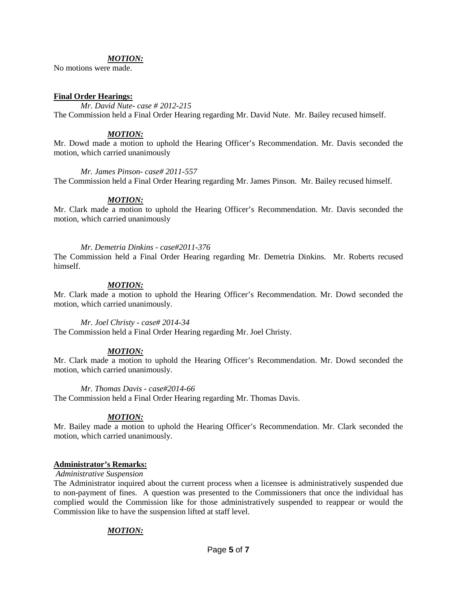#### *MOTION:*

No motions were made.

#### **Final Order Hearings:**

*Mr. David Nute- case # 2012-215* The Commission held a Final Order Hearing regarding Mr. David Nute. Mr. Bailey recused himself.

#### *MOTION:*

Mr. Dowd made a motion to uphold the Hearing Officer's Recommendation. Mr. Davis seconded the motion, which carried unanimously

## *Mr. James Pinson- case# 2011-557*

The Commission held a Final Order Hearing regarding Mr. James Pinson. Mr. Bailey recused himself.

### *MOTION:*

Mr. Clark made a motion to uphold the Hearing Officer's Recommendation. Mr. Davis seconded the motion, which carried unanimously

#### *Mr. Demetria Dinkins - case#2011-376*

The Commission held a Final Order Hearing regarding Mr. Demetria Dinkins. Mr. Roberts recused himself.

#### *MOTION:*

Mr. Clark made a motion to uphold the Hearing Officer's Recommendation. Mr. Dowd seconded the motion, which carried unanimously.

#### *Mr. Joel Christy - case# 2014-34*

The Commission held a Final Order Hearing regarding Mr. Joel Christy.

### *MOTION:*

Mr. Clark made a motion to uphold the Hearing Officer's Recommendation. Mr. Dowd seconded the motion, which carried unanimously.

#### *Mr. Thomas Davis - case#2014-66*

The Commission held a Final Order Hearing regarding Mr. Thomas Davis.

### *MOTION:*

Mr. Bailey made a motion to uphold the Hearing Officer's Recommendation. Mr. Clark seconded the motion, which carried unanimously.

#### **Administrator's Remarks:**

#### *Administrative Suspension*

The Administrator inquired about the current process when a licensee is administratively suspended due to non-payment of fines. A question was presented to the Commissioners that once the individual has complied would the Commission like for those administratively suspended to reappear or would the Commission like to have the suspension lifted at staff level.

### *MOTION:*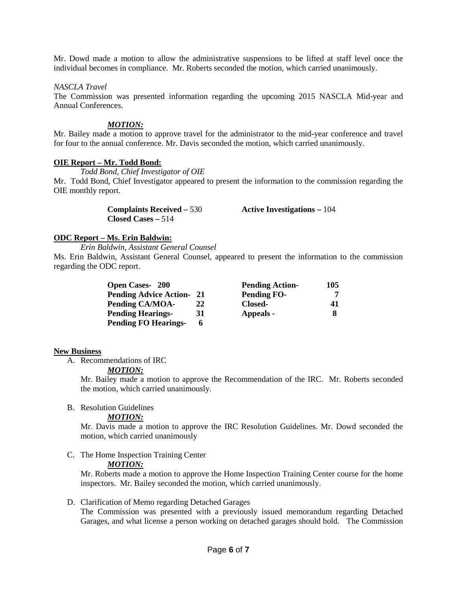Mr. Dowd made a motion to allow the administrative suspensions to be lifted at staff level once the individual becomes in compliance. Mr. Roberts seconded the motion, which carried unanimously.

#### *NASCLA Travel*

The Commission was presented information regarding the upcoming 2015 NASCLA Mid-year and Annual Conferences.

#### *MOTION:*

Mr. Bailey made a motion to approve travel for the administrator to the mid-year conference and travel for four to the annual conference. Mr. Davis seconded the motion, which carried unanimously.

#### **OIE Report – Mr. Todd Bond:**

*Todd Bond, Chief Investigator of OIE*

Mr. Todd Bond, Chief Investigator appeared to present the information to the commission regarding the OIE monthly report.

| <b>Complaints Received – 530</b> | Active Investigations $-104$ |
|----------------------------------|------------------------------|
| $Closed Cases - 514$             |                              |

### **ODC Report – Ms. Erin Baldwin:**

### *Erin Baldwin, Assistant General Counsel*

Ms. Erin Baldwin, Assistant General Counsel, appeared to present the information to the commission regarding the ODC report.

| <b>Open Cases-200</b>           |    | <b>Pending Action-</b> | 105 |
|---------------------------------|----|------------------------|-----|
| <b>Pending Advice Action-21</b> |    | <b>Pending FO-</b>     |     |
| Pending CA/MOA-                 | 22 | Closed-                | 41  |
| <b>Pending Hearings-</b>        | 31 | Appeals -              |     |
| <b>Pending FO Hearings-</b>     | 6  |                        |     |

#### **New Business**

A. Recommendations of IRC

### *MOTION:*

Mr. Bailey made a motion to approve the Recommendation of the IRC. Mr. Roberts seconded the motion, which carried unanimously.

## B. Resolution Guidelines

## *MOTION:*

Mr. Davis made a motion to approve the IRC Resolution Guidelines. Mr. Dowd seconded the motion, which carried unanimously

C. The Home Inspection Training Center

#### *MOTION:*

Mr. Roberts made a motion to approve the Home Inspection Training Center course for the home inspectors. Mr. Bailey seconded the motion, which carried unanimously.

### D. Clarification of Memo regarding Detached Garages

The Commission was presented with a previously issued memorandum regarding Detached Garages, and what license a person working on detached garages should hold. The Commission